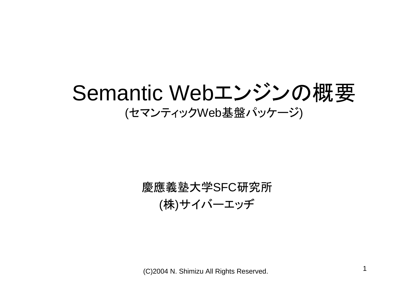Semantic Webエンジンの概要 (セマンティックWeb基盤パッケージ )

## 慶應義塾大学SFC研究所 ( 株 )サイバーエッヂ

(C)2004 N. Shimizu All Rights Reserved. 1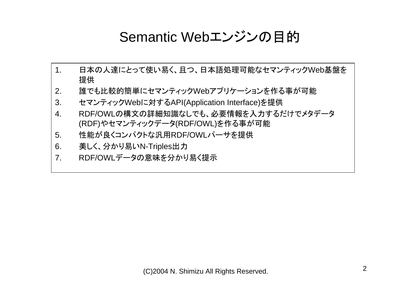## Semantic Webエンジンの目的

- 1. 日本の人達にとって使い易く、且つ、日本語処理可能なセマンティックWeb基盤を 提供
- 2.誰でも比較的簡単にセマンティックWebアプリケーションを作る事が可能
- 3. セマンティックWebに対するAPI(Application Interface)を提供
- 4. RDF/OWLの構文の詳細知識なしでも、必要情報を入力するだけでメタデータ (RDF)やセマンティックデータ(RDF/OWL)を作る事が可能
- 5. 性能が良くコンパクトな汎用RDF/OWLパーサを提供
- 6. 美しく、分かり易いN-Triples出力
- 7. RDF/OWLデータの意味を分かり易く提示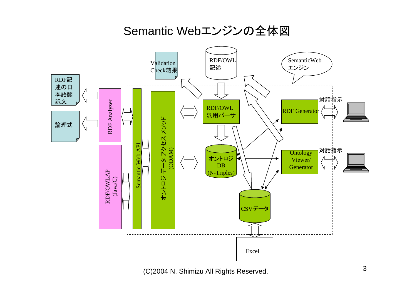### Semantic Webエンジンの全体図



(C)2004 N. Shimizu All Rights Reserved.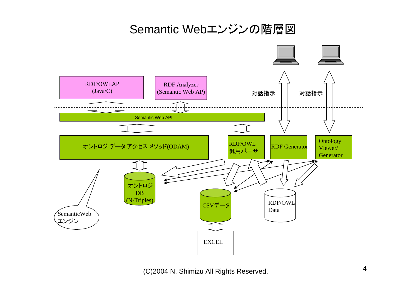### Semantic Webエンジンの階層図

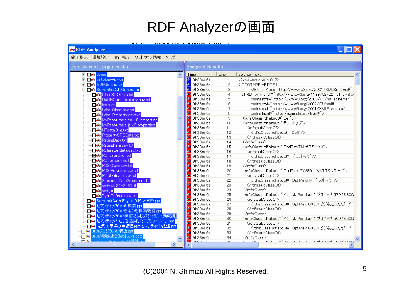# RDF Analyzerの画面

**NA DOCA** 

| <b>PURUF Analyzer</b>                            |                                     |              | $ \ $ $\ $ $\wedge$                                                                                                                                                                                                                                                                                                                                                                                                                                                                                          |
|--------------------------------------------------|-------------------------------------|--------------|--------------------------------------------------------------------------------------------------------------------------------------------------------------------------------------------------------------------------------------------------------------------------------------------------------------------------------------------------------------------------------------------------------------------------------------------------------------------------------------------------------------|
| 終了指示 環境設定 実行指示 ソフトウェア情報 ヘルプ                      |                                     |              |                                                                                                                                                                                                                                                                                                                                                                                                                                                                                                              |
| <b>Tree View of Target Folder</b>                | <b>Analyzed Results</b>             |              |                                                                                                                                                                                                                                                                                                                                                                                                                                                                                                              |
| ⊡ oo demo                                        | Time                                | Line         | Source Text                                                                                                                                                                                                                                                                                                                                                                                                                                                                                                  |
| <b>E-De</b> ontologyviewer                       | <mark>≉s</mark> 9h38m 6s            | 1            | xml version="1.0"?                                                                                                                                                                                                                                                                                                                                                                                                                                                                                           |
| <b>E-De®RDFGenerator</b>                         | 9h38m 6s                            | 2            | rdf:RDF [</th                                                                                                                                                                                                                                                                                                                                                                                                                                                                                                |
| D- De SemanticDataGenerator                      | <mark>鞠</mark> 9h38m 6s             | з            | ENTITY xsd "http://www.w3.org/2001/XMLSchema#" )</th                                                                                                                                                                                                                                                                                                                                                                                                                                                         |
| <mark>⊙io ClassSPOData.txt</mark>                | -20.<br>9h38m 6s                    | 4            | <rdf:rdf 01="" 2000="" http:="" rdf-schema#"<="" th="" www.w3.org="" xmlns:rdf="http://www.w3.org/1999/02/22-rdf-syntaxl&lt;/th&gt;&lt;/tr&gt;&lt;tr&gt;&lt;th&gt;DublinCore.Property.csv.txt&lt;/th&gt;&lt;th&gt;&lt;mark&gt;药&lt;/mark&gt; 9h38m 6s&lt;/th&gt;&lt;th&gt;5.&lt;/th&gt;&lt;th&gt;xmlns:rdfs="></rdf:rdf>                                                                                                                                                                                     |
| ⊡e e icon.ico                                    | <mark>药</mark> 9h38m 6s             | 6            | xmlns:owl="http://www.w3.org/2002/07/owl#"                                                                                                                                                                                                                                                                                                                                                                                                                                                                   |
| ⊙ Label.Class.csv.txt                            | <mark>率</mark> 9h38m 6s             | 7            | xmlns:xsd="http://www.w3.org/2001/XMLSchema#"                                                                                                                                                                                                                                                                                                                                                                                                                                                                |
| <b>De Label Property.csv.txt</b>                 | <mark>‰</mark> 9h38m 6s             | 8.           | xmins:labei="http://example.org/labei#">                                                                                                                                                                                                                                                                                                                                                                                                                                                                     |
| MyResources en US properties                     | <mark>#a</mark> 9h38m 6s            | 9            |                                                                                                                                                                                                                                                                                                                                                                                                                                                                                                              |
| MyResources_ja_JP.properties                     | <mark>药</mark> 9h38m 6s             | 10           | <rdfs:class rdf:about="デスクトップ"></rdfs:class>                                                                                                                                                                                                                                                                                                                                                                                                                                                                 |
| O o MTdata.0.nt.txt                              | <mark>se</mark> 9h38m 6s            | 11           | <rdfs:subclassof></rdfs:subclassof>                                                                                                                                                                                                                                                                                                                                                                                                                                                                          |
| - o® PropertySPOData.txt                         | <mark>*</mark> 9h38m 6s             | 12           | <rdfs:class_rdf:about="dell"></rdfs:class_rdf:about="dell">                                                                                                                                                                                                                                                                                                                                                                                                                                                  |
| <mark>⊝e®</mark> RatingData.txt                  | <mark>≸s</mark> 9h38m 6s            | 13           |                                                                                                                                                                                                                                                                                                                                                                                                                                                                                                              |
|                                                  | <mark>多</mark> 9h38m 6s             | 14           |                                                                                                                                                                                                                                                                                                                                                                                                                                                                                                              |
| <b>D</b> <sup>o</sup> RatingItem.csv.txt         | <mark>se</mark> 9h38m 6s            | 15           | <rdfs:class_rdf:about="optiplextm デスクトップ"=""></rdfs:class_rdf:about="optiplextm>                                                                                                                                                                                                                                                                                                                                                                                                                             |
| RolassDefdata.csv.txt                            | sie 9h38m 6s                        | 16           | <rdfs:subclassof></rdfs:subclassof>                                                                                                                                                                                                                                                                                                                                                                                                                                                                          |
| √ o RDFdata.0.rdf.txt                            | st <mark>≸s</mark> 9h38m 6s         | 17           | <rdfs:class rdf:about="デスクトップ"></rdfs:class>                                                                                                                                                                                                                                                                                                                                                                                                                                                                 |
| <mark>očo</mark> RDFparserjni.dll                | <mark>*</mark> 9h38m 6s             | 18           |                                                                                                                                                                                                                                                                                                                                                                                                                                                                                                              |
| De RSS.Class.csv.txt                             | <mark>*</mark> 9h38m 6s             | 19           |                                                                                                                                                                                                                                                                                                                                                                                                                                                                                                              |
| De® RSS.Property.csv.txt                         | <mark>药</mark> 9h38m 6s             | 20           | <rdfs:class_rdf:about="optiplex_gx280ビジネススタンダード"></rdfs:class_rdf:about="optiplex_gx280ビジネススタンダード">                                                                                                                                                                                                                                                                                                                                                                                                          |
| De RstdDefdata.csv.txt                           | <mark>≸s</mark> 9h38m 6s            | 21           | <rdfs:subclassof></rdfs:subclassof>                                                                                                                                                                                                                                                                                                                                                                                                                                                                          |
| SemanticDataGenerator.jar                        | s≹ 9h 38m 6s                        | 22           | <rdfs:class-rdf:about="optiplextm デスクトップ"=""></rdfs:class-rdf:about="optiplextm>                                                                                                                                                                                                                                                                                                                                                                                                                             |
| - o <sup>2</sup> o swt−win32−2135.dll            | sie 9h38m 6s                        | 23           |                                                                                                                                                                                                                                                                                                                                                                                                                                                                                                              |
| . ∎o‴o <mark>swt.jar</mark>                      | <mark>率</mark> 9h38m 6s             | 24           |                                                                                                                                                                                                                                                                                                                                                                                                                                                                                                              |
| Type Defdata.csv.txt                             | <mark>se</mark> 9h38m 6s            | 25           | <rdfs:class gx280ビジネススタンダード".<="" optiplex="" rdf:about="インテル Pentium 4 プロセッサ 570 (3.80G&lt;/th&gt;&lt;/tr&gt;&lt;tr&gt;&lt;th&gt;□● SemanticWeb Engineの説明資料.ppt&lt;/th&gt;&lt;th&gt;&lt;mark&gt;*&lt;/mark&gt;9h38m 6s&lt;/th&gt;&lt;th&gt;26&lt;/th&gt;&lt;th&gt;&lt;rdfs:subClassOf&gt;&lt;/th&gt;&lt;/tr&gt;&lt;tr&gt;&lt;th&gt;□●● セマンティックWebの概要.ppt&lt;/th&gt;&lt;th&gt;&lt;mark&gt;∄s&lt;/mark&gt; 9h38m 6s&lt;/th&gt;&lt;th&gt;27&lt;/th&gt;&lt;th&gt;&lt;rdfs:Classindf:about=" th=""></rdfs:class> |
| ·■※ セマンティックWebを用いた検索機能ppt                        | <mark>≸s</mark> 9h 38m 6s           | 28           |                                                                                                                                                                                                                                                                                                                                                                                                                                                                                                              |
| ・■ <mark>ぴ®</mark> セマンティックWeb技術活用スペシャリスト 養成講』    | 30 9h38m 6s                         | 29           |                                                                                                                                                                                                                                                                                                                                                                                                                                                                                                              |
| ·□◎ セマンティックウェブを活用したアプリケーション.ppt                  | <mark>:‰</mark> 9h38m 6s            | 30           | <rdfs:class_rdf:about="インテル_pentium (3.60g<="" 4="" 560="" th="" プロセッサ=""></rdfs:class_rdf:about="インテル_pentium>                                                                                                                                                                                                                                                                                                                                                                                              |
| □◎ 電気工事業の申請書類のセマンテイック記述.ppt                      | <b>3</b> 9h38m 6s                   | 31           | <rdfs:subclassof></rdfs:subclassof>                                                                                                                                                                                                                                                                                                                                                                                                                                                                          |
| □◎ Javaプログラムの構造.ppt                              | % 9h38m 6s                          | 32           | <rdfs:class_rdf:about="optiplex_gx280ビジネススタンダード"」< th=""></rdfs:class_rdf:about="optiplex_gx280ビジネススタンダード"」<>                                                                                                                                                                                                                                                                                                                                                                                                |
| □ <sup>e</sup> ® Java開発におけるあれこれ.doc              | <mark>多</mark> 9h38m 6s             | 33           |                                                                                                                                                                                                                                                                                                                                                                                                                                                                                                              |
| <b>EAS Optology ConomtorO<sup>EAE+</sup> prt</b> | <mark>∄s</mark> 9h38m 6s<br>0.00000 | 34<br>$\sim$ | <br>$\lambda$ -Reducillation (or $\lambda$ or $\lambda$<br>$2 - 10 - 201$<br>$10 - 1$<br>ハーダー アベルティオ しゅうしゅん                                                                                                                                                                                                                                                                                                                                                                                                  |
|                                                  |                                     |              |                                                                                                                                                                                                                                                                                                                                                                                                                                                                                                              |
|                                                  |                                     |              |                                                                                                                                                                                                                                                                                                                                                                                                                                                                                                              |

**TENV**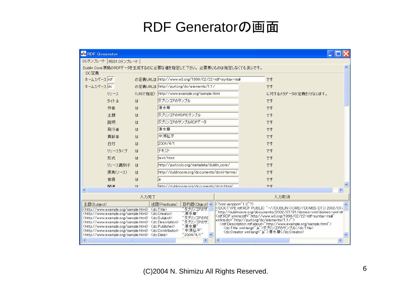## RDF Generatorの画面

| <b>B</b> <sup>c</sup> RDF Generator                                                                                                                                                                                                                                                                                                                                                                                                                                                                                                                                                                                                                                                                                                                                                                                                                                                                                                                                                                                                                                                       |         |      |                                                     |                                           |                        |                     |  |
|-------------------------------------------------------------------------------------------------------------------------------------------------------------------------------------------------------------------------------------------------------------------------------------------------------------------------------------------------------------------------------------------------------------------------------------------------------------------------------------------------------------------------------------------------------------------------------------------------------------------------------------------------------------------------------------------------------------------------------------------------------------------------------------------------------------------------------------------------------------------------------------------------------------------------------------------------------------------------------------------------------------------------------------------------------------------------------------------|---------|------|-----------------------------------------------------|-------------------------------------------|------------------------|---------------------|--|
| DCテンプレート RSS1.0テンプレート                                                                                                                                                                                                                                                                                                                                                                                                                                                                                                                                                                                                                                                                                                                                                                                                                                                                                                                                                                                                                                                                     |         |      |                                                     |                                           |                        |                     |  |
| Dublin Core準拠のRDFデータを生成するのに必要な値を指定して下さい。必要無いものは指定しなくても良いです。                                                                                                                                                                                                                                                                                                                                                                                                                                                                                                                                                                                                                                                                                                                                                                                                                                                                                                                                                                                                                               |         |      |                                                     |                                           |                        |                     |  |
| DC定義<br>ネームスペース rdf                                                                                                                                                                                                                                                                                                                                                                                                                                                                                                                                                                                                                                                                                                                                                                                                                                                                                                                                                                                                                                                                       |         |      | の定義URLは http://www.w3.org/1999/02/22-rdf-syntax-ns# |                                           |                        | です                  |  |
| ネームスペース do                                                                                                                                                                                                                                                                                                                                                                                                                                                                                                                                                                                                                                                                                                                                                                                                                                                                                                                                                                                                                                                                                |         |      | の定義URLは http://purl.org/dc/elements/1.1/            |                                           |                        | です                  |  |
|                                                                                                                                                                                                                                                                                                                                                                                                                                                                                                                                                                                                                                                                                                                                                                                                                                                                                                                                                                                                                                                                                           | リソース    |      | (URIで指定) http://www.example.org/sample.html         |                                           |                        | に対するメタデータの定義を行ないます。 |  |
|                                                                                                                                                                                                                                                                                                                                                                                                                                                                                                                                                                                                                                                                                                                                                                                                                                                                                                                                                                                                                                                                                           | タイトル    | は    | ダブリンコアのサンプル                                         |                                           |                        | です                  |  |
|                                                                                                                                                                                                                                                                                                                                                                                                                                                                                                                                                                                                                                                                                                                                                                                                                                                                                                                                                                                                                                                                                           | 作者      | は    | 清水章                                                 |                                           |                        | です                  |  |
|                                                                                                                                                                                                                                                                                                                                                                                                                                                                                                                                                                                                                                                                                                                                                                                                                                                                                                                                                                                                                                                                                           | 主題      | は    | ダブリンコアのRDFのサンプル                                     |                                           |                        | です                  |  |
|                                                                                                                                                                                                                                                                                                                                                                                                                                                                                                                                                                                                                                                                                                                                                                                                                                                                                                                                                                                                                                                                                           |         |      | ダブリンコアのサンプルRDFデータ                                   |                                           |                        |                     |  |
|                                                                                                                                                                                                                                                                                                                                                                                                                                                                                                                                                                                                                                                                                                                                                                                                                                                                                                                                                                                                                                                                                           | 説明      | は    |                                                     |                                           |                        | です                  |  |
|                                                                                                                                                                                                                                                                                                                                                                                                                                                                                                                                                                                                                                                                                                                                                                                                                                                                                                                                                                                                                                                                                           | 発行者     | (t)  | 淸水章                                                 |                                           |                        | です                  |  |
|                                                                                                                                                                                                                                                                                                                                                                                                                                                                                                                                                                                                                                                                                                                                                                                                                                                                                                                                                                                                                                                                                           | 貢献者     | は    | 中須弘平                                                |                                           |                        | です                  |  |
|                                                                                                                                                                                                                                                                                                                                                                                                                                                                                                                                                                                                                                                                                                                                                                                                                                                                                                                                                                                                                                                                                           | 日付      | は    | 2004/4/1                                            |                                           |                        | です                  |  |
|                                                                                                                                                                                                                                                                                                                                                                                                                                                                                                                                                                                                                                                                                                                                                                                                                                                                                                                                                                                                                                                                                           | リソースタイプ | は    | テキスト                                                |                                           |                        | です                  |  |
|                                                                                                                                                                                                                                                                                                                                                                                                                                                                                                                                                                                                                                                                                                                                                                                                                                                                                                                                                                                                                                                                                           | 形式      | は    | text/html                                           |                                           |                        | です                  |  |
|                                                                                                                                                                                                                                                                                                                                                                                                                                                                                                                                                                                                                                                                                                                                                                                                                                                                                                                                                                                                                                                                                           | リソース識別子 | (t)  | http://purl.oclc.org/metadata/dublin_core/          |                                           |                        | です                  |  |
|                                                                                                                                                                                                                                                                                                                                                                                                                                                                                                                                                                                                                                                                                                                                                                                                                                                                                                                                                                                                                                                                                           | 原典(ソース) | は    | http://dublincore.org/documents/dcmi-terms/         |                                           |                        | です                  |  |
|                                                                                                                                                                                                                                                                                                                                                                                                                                                                                                                                                                                                                                                                                                                                                                                                                                                                                                                                                                                                                                                                                           | 言語      | は    | lia                                                 |                                           |                        | です                  |  |
|                                                                                                                                                                                                                                                                                                                                                                                                                                                                                                                                                                                                                                                                                                                                                                                                                                                                                                                                                                                                                                                                                           | 関連      | (±   |                                                     | http://dublincore.org/documents/dcg-html/ |                        | です                  |  |
|                                                                                                                                                                                                                                                                                                                                                                                                                                                                                                                                                                                                                                                                                                                                                                                                                                                                                                                                                                                                                                                                                           |         | 入力完了 |                                                     |                                           |                        | 入力取消                |  |
| 主語(Subject)                                                                                                                                                                                                                                                                                                                                                                                                                                                                                                                                                                                                                                                                                                                                                                                                                                                                                                                                                                                                                                                                               |         |      | 述語(Predicate)<br>目的語(Object) へ                      | K?xml version="1.0"?>                     |                        |                     |  |
| rdf:RDF PUBLIC "-//DUBLIN CORE//DCMES DTD 2002/07/<br "ダブリンコアのサ]<br><http: sample.html="" www.example.org=""> <dc:title><br/>/http://dublincore.org/documents/2002/07/31/dcmes-xml/dcmes-xml-dt<br/>清水章"<br/><http: sample.html="" www.example.org=""> <dc:creator><br/>Krdf:RDF xmlns:rdf="http://www.w3.org/1999/02/22-rdf-syntax-ns#"<br/>"ダブリンコアのRE<br/><http: sample.html="" www.example.org=""> <dc:subject><br/>xmlns:dc="http://purl.org/dc/elements/1.1/"&gt;<br/>"ダブリンコアのサ!<br/><http: sample.html="" www.example.org=""> <dc:description><br/><rdf:description rdf.about="http://www.example.org/sample.html">ダブリンコアのサンプル<br/>" 清水章"<br/><http: sample.html="" www.example.org=""> <dc:publisher><br/>"中須弘平"<br/><http: sample.html="" www.example.org=""> <dc:contributor><br/>〈dc:Creator xml:lang=" a"&gt;清水章〈/dc:Creator〉<br/>"2004/4/1"<br/><http: sample.html="" www.example.org=""> <dc:date></dc:date></http:></dc:contributor></http:></dc:publisher></http:></rdf:description></dc:description></http:></dc:subject></http:></dc:creator></http:></dc:title></http:> |         |      |                                                     |                                           |                        |                     |  |
|                                                                                                                                                                                                                                                                                                                                                                                                                                                                                                                                                                                                                                                                                                                                                                                                                                                                                                                                                                                                                                                                                           |         |      |                                                     |                                           | $\mathbf{H}\mathbf{H}$ |                     |  |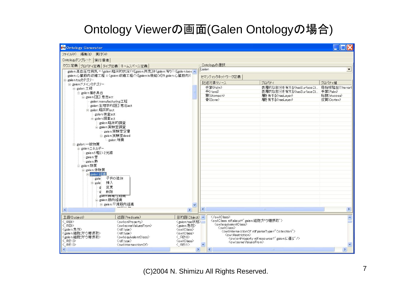### Ontology Viewerの画面(Galen Ontologyの場合 )

| <b>B</b> <sup>o</sup> Ontology Generator |                                                                     |                                       |          |                                                                                                    |                                              |                       |
|------------------------------------------|---------------------------------------------------------------------|---------------------------------------|----------|----------------------------------------------------------------------------------------------------|----------------------------------------------|-----------------------|
| ファイル(F) 編集(E) 実行(R)                      |                                                                     |                                       |          |                                                                                                    |                                              |                       |
| Ontologyテンプレート 実行環境                      |                                                                     |                                       |          |                                                                                                    |                                              |                       |
| クラス定義 プロパティ定義 タイプ定義 ネームスペース定義            |                                                                     |                                       |          | Ontologyの選択                                                                                        |                                              |                       |
|                                          | galen:高血圧性病気 = (galen:臨床的状況∩([galen:所見]∃(galen:有り∩([galen:isex ∧)   |                                       | Galen.   |                                                                                                    |                                              | $\vert \cdot \vert$   |
|                                          | galen:心臓筋肉収縮工程 = (galen:収縮工程∩([galen:is機能Of]∃ galen:心臓筋肉))          |                                       |          | セマンティックネットワーク定義                                                                                    |                                              |                       |
| 白 galen:top力テゴリー                         |                                                                     |                                       | 記述対象リソース | プロパティ                                                                                              | プロパティ値                                       |                       |
| 白 galen:ドメインカテゴリー<br>白 galen:工程          |                                                                     |                                       |          | 手堂(Palm)                                                                                           | 表層的な部分を有する(hasSurfaceDi                      | 母指球隆起(Thenarl         |
| 白 galen:働き具合                             |                                                                     |                                       |          | #(Hand)                                                                                            | 表層的な部分を有する(hasSurfaceDi 手掌(Palm)             |                       |
| 中 galen:[医] 意志act.                       |                                                                     |                                       |          | 胃(Stomach)                                                                                         | 層を有する(hasLayer)                              | 粘膜(Mucosa)            |
| galen:manufacturing工程                    |                                                                     |                                       |          | 骨(Bone)                                                                                            | 層を有する(hasLayer)                              | 皮質(Cortex)            |
| galen:生理学的[医] 意志act                      |                                                                     |                                       |          |                                                                                                    |                                              |                       |
| 白 galen:臨床的act                           |                                                                     |                                       |          |                                                                                                    |                                              |                       |
| galen:検査act                              |                                                                     |                                       |          |                                                                                                    |                                              |                       |
| 中 galen:調査act                            |                                                                     |                                       |          |                                                                                                    |                                              |                       |
| galen:臨床的調査<br>白 galen:実験室調査             |                                                                     |                                       |          |                                                                                                    |                                              |                       |
|                                          | galen:実験室定量                                                         |                                       |          |                                                                                                    |                                              |                       |
|                                          | 白 galen:実験室deed                                                     |                                       |          |                                                                                                    |                                              |                       |
|                                          | └ galen:培養                                                          |                                       |          |                                                                                                    |                                              |                       |
| 白 galen:一般物質                             |                                                                     |                                       |          |                                                                                                    |                                              |                       |
| 白 galen:エネルギー                            |                                                                     |                                       |          |                                                                                                    |                                              |                       |
| galen:1 軽い2光線                            |                                                                     |                                       |          |                                                                                                    |                                              |                       |
| galen:音<br>-galen:熱                      |                                                                     |                                       |          |                                                                                                    |                                              |                       |
| 白 galen:物質                               |                                                                     |                                       |          |                                                                                                    |                                              |                       |
| 白 galen:体物質                              |                                                                     |                                       |          |                                                                                                    |                                              |                       |
| 自 gale n:組織                              |                                                                     |                                       |          |                                                                                                    |                                              |                       |
| 子供の追加<br>gale                            |                                                                     |                                       |          |                                                                                                    |                                              |                       |
| 挿入<br>E-gale                             |                                                                     |                                       |          |                                                                                                    |                                              |                       |
| 変更<br>g                                  |                                                                     |                                       |          |                                                                                                    |                                              |                       |
| 削除<br>galen:脉維性组織                        |                                                                     |                                       |          |                                                                                                    |                                              |                       |
| 白 galen:筋肉組織                             |                                                                     |                                       |          |                                                                                                    |                                              |                       |
|                                          | 白 galen:平滑筋肉組織                                                      | $\checkmark$                          |          |                                                                                                    |                                              |                       |
| K.                                       |                                                                     | $\rightarrow$                         |          |                                                                                                    |                                              | $\blacktriangleright$ |
| 主語(Subject)                              | 述語(Predicate)                                                       | 目的語(Object) へ                         |          |                                                                                                    |                                              | $\triangle$           |
| <_:RE9>                                  | <owl:onproperty></owl:onproperty>                                   | <galen:has状態></galen:has状態>           |          | <owl:class rdf:about="galen:細胞ブドウ糖摂取"><br/><owl:equivalentclass></owl:equivalentclass></owl:class> |                                              |                       |
| < :RE9><br>〈galen:急性〉                    | <owl:somevaluesfrom><br/><rdf:type></rdf:type></owl:somevaluesfrom> | 〈galen:急性〉<br><owl:class></owl:class> |          | <owl:class></owl:class>                                                                            |                                              |                       |
| 〈galen:細胞ブドウ糖摂取〉                         | <rdf:type></rdf:type>                                               | <owl:class></owl:class>               |          | <owl:intersectionof rdf:parsetype="Collection"></owl:intersectionof>                               |                                              |                       |
| <galen:細胞ブドウ糖摂取></galen:細胞ブドウ糖摂取>        | <owl:e quivalentclass=""></owl:e>                                   | $\langle$ :RE10 $\rangle$             |          | <owl:restriction></owl:restriction>                                                                | 〈owl:onProperty rdf:resource=" galen:に運ぶ" /〉 |                       |
| $\langle$ :RE10 $\rangle$                | <rdf:tvpe></rdf:tvpe>                                               | <owl:class></owl:class>               |          | <owl:somevaluesfrom></owl:somevaluesfrom>                                                          |                                              |                       |
| $\langle$ :RE10><br>₹                    | <owl:intersectionof><br/><b>THE</b></owl:intersectionof>            | $\langle$ :RE11><br>$\rightarrow$     |          | $\overline{\phantom{a}}$                                                                           | <b>THE</b>                                   | $\,$                  |
|                                          |                                                                     |                                       |          |                                                                                                    |                                              |                       |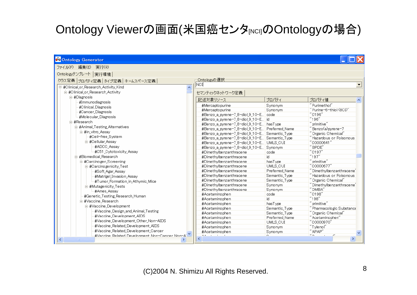### Ontology Viewerの画面(米国癌センタ $_{\sf INCI}$ のOntologyの場合)

| <b>Bo</b> Ontology Generator                                |                                                |                 |                                                                  |
|-------------------------------------------------------------|------------------------------------------------|-----------------|------------------------------------------------------------------|
| ファイル(F) 編集(E) 実行(R)                                         |                                                |                 |                                                                  |
| Ontologyテンプレート 実行環境                                         |                                                |                 |                                                                  |
| クラス定義 プロパティ定義 タイプ定義 ネームスペース定義                               | Ontologyの選択                                    |                 |                                                                  |
| 日 #Clinical or Research Activity Kind<br>$\hat{\mathbf{A}}$ | $\overline{\text{NCI}}$                        |                 |                                                                  |
| 白-#Clinical or Research Activity                            |                                                |                 |                                                                  |
| 白·#Diagnosis                                                | セマンティックネットワーク定義                                |                 |                                                                  |
| #Immunodiagnosis                                            | 記述対象リソース                                       | プロパティ           | プロパティ値                                                           |
| #Clinical Diagnosis                                         | #Mercaptopurine                                | Synonym         | "Purimethol"                                                     |
| #Cancer_Diagnosis                                           | #Mercaptopurine                                | Synonym         | "Purine-6-thiol (8CI)"                                           |
| #Molecular Diagnosis                                        | #Benzo_a_pyrene=7_8-diol_9_10-E code           |                 | $"$ C196 $"$                                                     |
| 白·#Research                                                 | #Benzo_a_pyrene=7_8=diol_9_10=E id             |                 | "196"                                                            |
| 白·#Animal Testing Alternatives                              | #Benzo a pyrene-7 8-diol 9 10-E hasType        |                 | $\degree$ primitive $\degree$                                    |
|                                                             | #Benzo a pyrene-7 8-diol 9 10-E Preferred Name |                 | "Benzo(a)pyrene-7                                                |
| 白·#in vitro Assav                                           | #Benzo_a_pyrene=7_8=diol_9_10=E Semantic_Type  |                 | "Organic Chemical"                                               |
| #Cell-free System                                           | #Benzo_a_pyrene=7_8=diol_9_10=E Semantic_Type  |                 | "Hazardous or Poisonous                                          |
| 白·#Cellular Assay                                           | #Benzo_a_pyrene=7_8-diol_9_10-E UMLS_CUI       |                 | "C0000641"                                                       |
| #ADCC Assay                                                 | #Benzo_a_pyrene=7_8-diol_9_10-E Synonym        |                 | $"$ BPDE"                                                        |
| #C51 Cytotoxicity Assay                                     | #Dimethylbenzanthracene                        | code            | "C197"                                                           |
| 白·#Biomedical Research                                      | #Dimethylbenzanthracene                        | id              | "197"                                                            |
| 白·#Carcinogen Screening                                     | #Dimethylbenzanthracene                        | hasType         | "primitive"                                                      |
| 白-#Carcinogenicity Test                                     | #Dimethylbenzanthracene                        | UMLS_CUI        | "C0000677"                                                       |
| #Soft Agar Assay                                            | #Dimethylbenzanthracene                        | Preferred Name  | " Dimethvlbenzanthracene'                                        |
| #Matrigel_Invasion_Assay                                    | #Dimethylbenzanthracene                        | Semantic Type   | "Hazardous or Poisonous                                          |
| #Tumor Formation in Athymic Mice                            | #Dimethylbenzanthracene                        | Semantic Type   | "Organic Chemical"<br>$\degree$ Dimethylbenzanthracene $\degree$ |
| 白·#Mutagenicity Tests                                       | #Dimethylbenzanthracene                        | Synonym         | "DMBA"                                                           |
| -#Ames_Assay                                                | #Dimethylbenzanthracene<br>#Acetaminophen      | Synonym<br>code | "C198"                                                           |
| #Genetic Testing Research Human                             | #Acetaminophen                                 | id.             | "198"                                                            |
| 白·#Vaccine Research                                         | #Acetaminophen                                 | hasType         | $"$ primitive"                                                   |
| 白·#Vaccine Development                                      | #Acetaminophen                                 | Semantic Type   | "Pharmacologic Substance                                         |
| #Vaccine_Design_and_Animal_Testing                          | #Acetaminophen                                 | Semantic_Type   | "Organic Chemical"                                               |
| #Vaccine Development AIDS                                   | #Acetaminophen                                 | Preferred Name  | "Acetaminophen"                                                  |
| #Vaccine_Development_Other_Non-AIDS                         | #Acetaminophen                                 | UMLS CUI        | "C0000970"                                                       |
| #Vaccine Related Development AIDS                           | #Acetaminophen                                 | Synonym         | ‴Tvlenol″                                                        |
| #Vaccine Related Development Cancer                         | #Acetaminophen                                 | Synonym         | "APAP"                                                           |
| #Vaccine Related Development Non-Cancer Non-A)              | $11 - 6$                                       | $\sim$          | $\alpha_{\rm em}$                                                |
|                                                             |                                                |                 |                                                                  |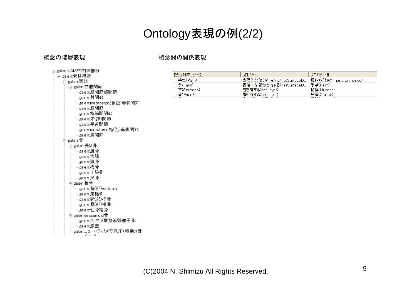### Ontology表現の例(2/2)

### 概念の階層表現 まんない おりの 概念間の関係表現

| 白 galen:NAMED内体部分         |
|---------------------------|
| 白galen:骨格構造               |
| 白 galen:関節                |
| 白galen:四肢関節               |
| └ galen:股関節部関節            |
| └️ galen:肘関節              |
| └️galenːmetacarpo指(趾)節骨関節 |
| └ galen:膝関節               |
| └ galen:指節間関節             |
| └ galen:果(踝)関節            |
| ├―galen:手首関節              |
| └️galenːmetatarso指(趾)節骨関節 |
| └─galen:肩関節               |
| 白·galen:骨                 |
| 白 galen:長い骨               |
| └ galen:腓骨                |
| ├─galen:大腿                |
| ├─galen:頚骨                |
| ⊫galen:橈骨                 |
| -galen:上腕骨                |
| └─galen:尺骨                |
| 白 galen:椎骨                |
| └ galen:胸(部)vertabra      |
| └ galen:尾椎骨               |
| └ galen:頚(部)椎骨            |
| ⊫galen:腰(部)椎骨             |
| └─galen:仙骨椎骨              |
| 白·galen:sessamoid骨        |
| └galen:ファベラ(腓腹筋頭種子骨)      |
| └─galen:膝蓋                |
| galen:ニューマチック(空気圧)稼動の骨    |
|                           |

| 記述対象リソース   | プロパティ                   | プロパティ値                |
|------------|-------------------------|-----------------------|
| 手堂(Palm)   | 表層的な部分を有する(hasSurfaceDi | 母指球降起(ThenarEminence) |
| 手(Hand)    | 表層的な部分を有する(hasSurfaceDi | 手堂 $($ Palm $)$       |
| 胃(Stomach) | 層を有する(hasLaver)         | 粘膜(Mucosa)            |
| 骨(Bone)    | 層を有する(hasLayer)         | 皮質(Cortex)            |
|            |                         |                       |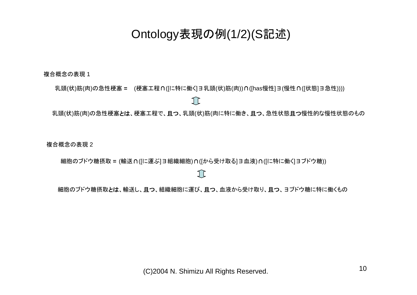### Ontology表現の例(1/2)(S記述 )

複合概念の表現 1

乳頭(状)筋(肉)の急性梗塞 = (梗塞工程∩([に特に働く]∃乳頭(状)筋(肉))∩([has慢性]∃(慢性∩([状態]∃急性))))

T

乳頭(状)筋(肉)の急性梗塞とは、梗塞工程で、且つ、乳頭(状)筋(肉に特に働き、且つ、急性状態且つ慢性的な慢性状態のもの

複合概念の表現 2

細胞のブドウ糖摂取 **=** (輸送 <sup>∩</sup>([に運ぶ]∃組織細胞)∩([から受け取る]∃血液)∩([に特に働く]∃ブドウ糖))

 $\bigcap$ 

細胞のブドウ糖摂取とは、輸送し、且つ、組織細胞に運び、且つ、血液から受け取り、且つ、ヨブドウ糖に特に働くもの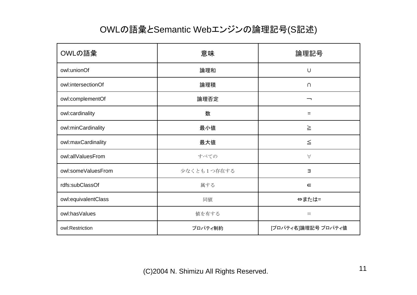### OWLの語彙とSemantic Webエンジンの論理記号(S記述)

| OWLの語彙              | 意味          | 論理記号                |
|---------------------|-------------|---------------------|
| owl:unionOf         | 論理和         | $\cup$              |
| owl:intersectionOf  | 論理積         | $\cap$              |
| owl:complementOf    | 論理否定        | ⇁                   |
| owl:cardinality     | 数           | $=$                 |
| owl:minCardinality  | 最小値         | $\geq$              |
| owl:maxCardinality  | 最大値         | $\leq$              |
| owl:allValuesFrom   | すべての        | $\forall$           |
| owl:someValuesFrom  | 少なくとも1つ存在する | $\exists$           |
| rdfs:subClassOf     | 属する         | $\in$               |
| owl:equivalentClass | 同値          | ⇔または=               |
| owl:hasValues       | 値を有する       | $\equiv$            |
| owl:Restriction     | プロパティ制約     | [プロパティ名]論理記号 プロパティ値 |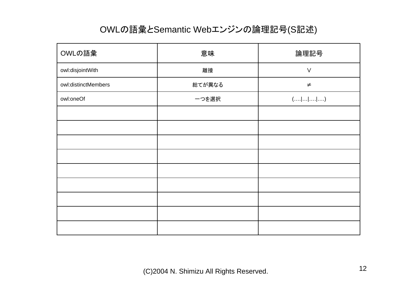### OWLの語彙とSemantic Webエンジンの論理記号(S記述)

| OWLの語彙              | 意味     | 論理記号                                       |
|---------------------|--------|--------------------------------------------|
| owl:disjointWith    | 離接     | $\vee$                                     |
| owl:distinctMembers | 総てが異なる | $\neq$                                     |
| owl:oneOf           | 一つを選択  | $(\ldots  \ldots  \ldots  \ldots  \ldots)$ |
|                     |        |                                            |
|                     |        |                                            |
|                     |        |                                            |
|                     |        |                                            |
|                     |        |                                            |
|                     |        |                                            |
|                     |        |                                            |
|                     |        |                                            |
|                     |        |                                            |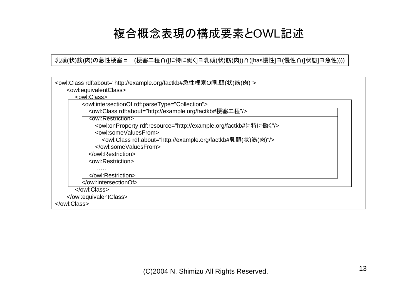### 複合概念表現の構成要素とOWL記述

乳頭(状)筋(肉)の急性梗塞 = (梗塞工程∩([に特に働く]∃乳頭(状)筋(肉))∩([has慢性]∃(慢性∩([状態]∃急性))))

| <owl:class rdf:about="http://example.org/factkb#急性梗塞Of乳頭(状)筋(肉)"><br/><owl:equivalentclass></owl:equivalentclass></owl:class> |
|-------------------------------------------------------------------------------------------------------------------------------|
| <owl:class></owl:class>                                                                                                       |
| <owl:intersectionof rdf:parsetype="Collection"></owl:intersectionof>                                                          |
| <owl:class rdf:about="http://example.org/factkb#梗塞工程"></owl:class>                                                            |
| <owl:restriction></owl:restriction>                                                                                           |
| <owl:onproperty rdf:resource="http://example.org/factkb#に特に働く"></owl:onproperty>                                              |
| <owl:somevaluesfrom></owl:somevaluesfrom>                                                                                     |
| <owl:class rdf:about="http://example.org/factkb#乳頭(状)筋(肉)"></owl:class>                                                       |
|                                                                                                                               |
|                                                                                                                               |
| <owl:restriction></owl:restriction>                                                                                           |
| .                                                                                                                             |
|                                                                                                                               |
|                                                                                                                               |
|                                                                                                                               |
|                                                                                                                               |
|                                                                                                                               |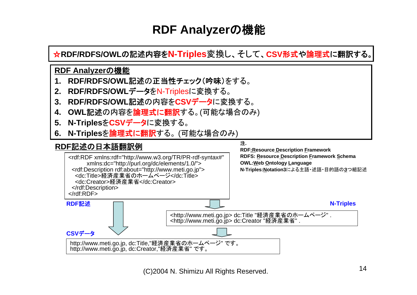### **RDF Analyzer**の機能

☆**RDF/RDFS/OWL**の記述内容を**N-Triples**変換し、そして、**CSV**形式 や論理式に翻訳する。